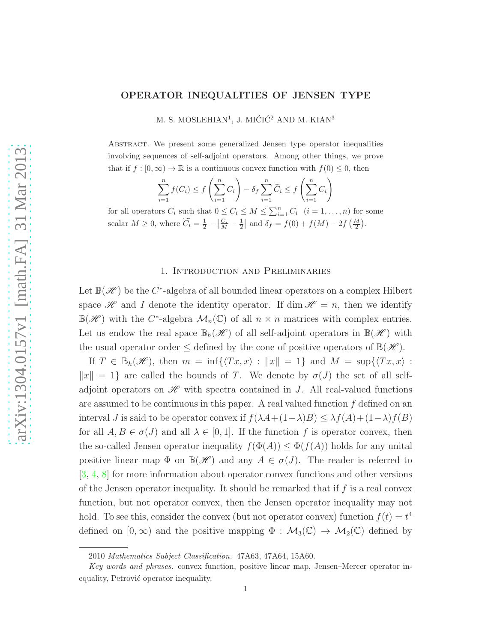# OPERATOR INEQUALITIES OF JENSEN TYPE

M. S. MOSLEHIAN<sup>1</sup>, J. MIĆIĆ<sup>2</sup> AND M. KIAN<sup>3</sup>

Abstract. We present some generalized Jensen type operator inequalities involving sequences of self-adjoint operators. Among other things, we prove that if  $f : [0, \infty) \to \mathbb{R}$  is a continuous convex function with  $f(0) \leq 0$ , then

$$
\sum_{i=1}^{n} f(C_i) \le f\left(\sum_{i=1}^{n} C_i\right) - \delta_f \sum_{i=1}^{n} \widetilde{C}_i \le f\left(\sum_{i=1}^{n} C_i\right)
$$

for all operators  $C_i$  such that  $0 \leq C_i \leq M \leq \sum_{i=1}^n C_i$   $(i = 1, ..., n)$  for some scalar  $M \geq 0$ , where  $\widetilde{C}_i = \frac{1}{2} - \left| \frac{C_i}{M} - \frac{1}{2} \right|$  and  $\delta_f = f(0) + f(M) - 2f\left(\frac{M}{2}\right)$ .

#### 1. Introduction and Preliminaries

Let  $\mathbb{B}(\mathscr{H})$  be the C<sup>\*</sup>-algebra of all bounded linear operators on a complex Hilbert space  $\mathscr H$  and I denote the identity operator. If dim  $\mathscr H = n$ , then we identify  $\mathbb{B}(\mathscr{H})$  with the C<sup>\*</sup>-algebra  $\mathcal{M}_n(\mathbb{C})$  of all  $n \times n$  matrices with complex entries. Let us endow the real space  $\mathbb{B}_h(\mathscr{H})$  of all self-adjoint operators in  $\mathbb{B}(\mathscr{H})$  with the usual operator order  $\leq$  defined by the cone of positive operators of  $\mathbb{B}(\mathscr{H})$ .

If  $T \in \mathbb{B}_h(\mathscr{H})$ , then  $m = \inf \{ \langle Tx, x \rangle : ||x|| = 1 \}$  and  $M = \sup \{ \langle Tx, x \rangle : ||x|| = 1 \}$  $||x|| = 1$  are called the bounds of T. We denote by  $\sigma(J)$  the set of all selfadjoint operators on  $\mathscr{H}$  with spectra contained in J. All real-valued functions are assumed to be continuous in this paper. A real valued function  $f$  defined on an interval J is said to be operator convex if  $f(\lambda A+(1-\lambda)B) \leq \lambda f(A)+(1-\lambda)f(B)$ for all  $A, B \in \sigma(J)$  and all  $\lambda \in [0, 1]$ . If the function f is operator convex, then the so-called Jensen operator inequality  $f(\Phi(A)) \leq \Phi(f(A))$  holds for any unital positive linear map  $\Phi$  on  $\mathbb{B}(\mathscr{H})$  and any  $A \in \sigma(J)$ . The reader is referred to [\[3,](#page-16-0) [4,](#page-16-1) [8\]](#page-16-2) for more information about operator convex functions and other versions of the Jensen operator inequality. It should be remarked that if  $f$  is a real convex function, but not operator convex, then the Jensen operator inequality may not hold. To see this, consider the convex (but not operator convex) function  $f(t) = t^4$ defined on  $[0, \infty)$  and the positive mapping  $\Phi : \mathcal{M}_3(\mathbb{C}) \to \mathcal{M}_2(\mathbb{C})$  defined by

<sup>2010</sup> Mathematics Subject Classification. 47A63, 47A64, 15A60.

Key words and phrases. convex function, positive linear map, Jensen–Mercer operator inequality, Petrović operator inequality.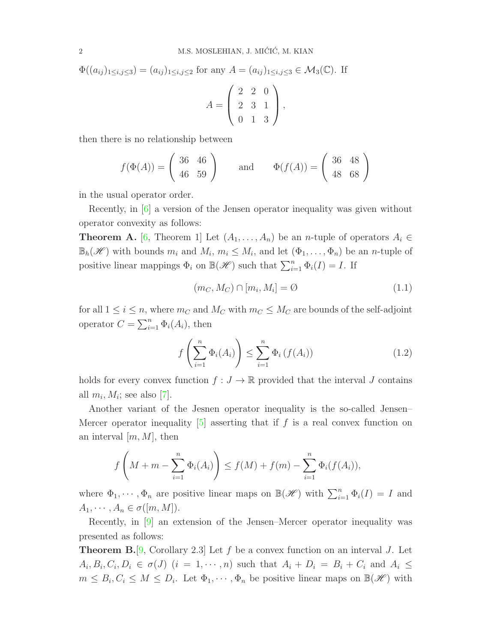$$
\Phi((a_{ij})_{1\leq i,j\leq 3}) = (a_{ij})_{1\leq i,j\leq 2} \text{ for any } A = (a_{ij})_{1\leq i,j\leq 3} \in \mathcal{M}_3(\mathbb{C}). \text{ If }
$$

$$
A = \begin{pmatrix} 2 & 2 & 0 \\ 2 & 3 & 1 \\ 0 & 1 & 3 \end{pmatrix},
$$

then there is no relationship between

$$
f(\Phi(A)) = \begin{pmatrix} 36 & 46 \\ 46 & 59 \end{pmatrix}
$$
 and  $\Phi(f(A)) = \begin{pmatrix} 36 & 48 \\ 48 & 68 \end{pmatrix}$ 

in the usual operator order.

Recently, in [\[6\]](#page-16-3) a version of the Jensen operator inequality was given without operator convexity as follows:

**Theorem A.** [\[6,](#page-16-3) Theorem 1] Let  $(A_1, \ldots, A_n)$  be an *n*-tuple of operators  $A_i \in$  $\mathbb{B}_h(\mathscr{H})$  with bounds  $m_i$  and  $M_i$ ,  $m_i \leq M_i$ , and let  $(\Phi_1, \ldots, \Phi_n)$  be an *n*-tuple of positive linear mappings  $\Phi_i$  on  $\mathbb{B}(\mathscr{H})$  such that  $\sum_{i=1}^n \Phi_i(I) = I$ . If

$$
(m_C, M_C) \cap [m_i, M_i] = \emptyset \tag{1.1}
$$

for all  $1 \leq i \leq n$ , where  $m_C$  and  $M_C$  with  $m_C \leq M_C$  are bounds of the self-adjoint operator  $C = \sum_{i=1}^{n} \Phi_i(A_i)$ , then

$$
f\left(\sum_{i=1}^{n} \Phi_i(A_i)\right) \le \sum_{i=1}^{n} \Phi_i\left(f(A_i)\right) \tag{1.2}
$$

holds for every convex function  $f: J \to \mathbb{R}$  provided that the interval J contains all  $m_i, M_i$ ; see also [\[7\]](#page-16-4).

Another variant of the Jesnen operator inequality is the so-called Jensen– Mercer operator inequality  $[5]$  asserting that if f is a real convex function on an interval  $[m, M]$ , then

$$
f\left(M+m-\sum_{i=1}^n \Phi_i(A_i)\right) \le f(M)+f(m)-\sum_{i=1}^n \Phi_i(f(A_i)),
$$

where  $\Phi_1, \dots, \Phi_n$  are positive linear maps on  $\mathbb{B}(\mathscr{H})$  with  $\sum_{i=1}^n \Phi_i(I) = I$  and  $A_1, \cdots, A_n \in \sigma([m, M]).$ 

Recently, in [\[9\]](#page-16-6) an extension of the Jensen–Mercer operator inequality was presented as follows:

**Theorem B.**[\[9,](#page-16-6) Corollary 2.3] Let f be a convex function on an interval J. Let  $A_i, B_i, C_i, D_i \in \sigma(J)$   $(i = 1, \cdots, n)$  such that  $A_i + D_i = B_i + C_i$  and  $A_i \leq$  $m \leq B_i, C_i \leq M \leq D_i$ . Let  $\Phi_1, \cdots, \Phi_n$  be positive linear maps on  $\mathbb{B}(\mathscr{H})$  with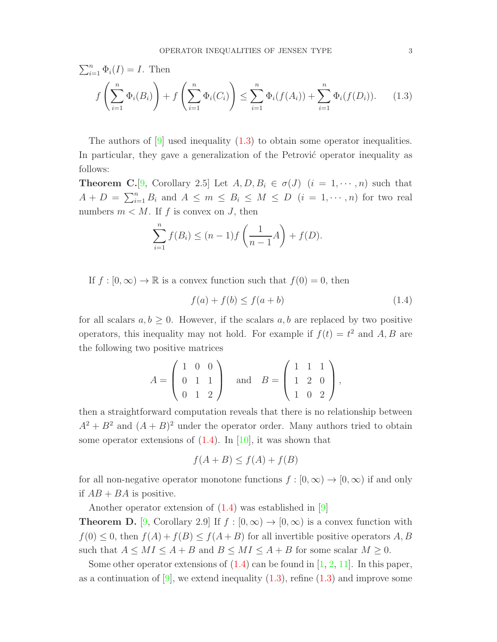$$
\sum_{i=1}^{n} \Phi_i(I) = I.
$$
 Then  

$$
f\left(\sum_{i=1}^{n} \Phi_i(B_i)\right) + f\left(\sum_{i=1}^{n} \Phi_i(C_i)\right) \le \sum_{i=1}^{n} \Phi_i(f(A_i)) + \sum_{i=1}^{n} \Phi_i(f(D_i)).
$$
 (1.3)

The authors of  $[9]$  used inequality  $(1.3)$  to obtain some operator inequalities. In particular, they gave a generalization of the Petrović operator inequality as follows:

**Theorem C.**[\[9,](#page-16-6) Corollary 2.5] Let  $A, D, B_i \in \sigma(J)$   $(i = 1, \dots, n)$  such that  $A + D = \sum_{i=1}^{n} B_i$  and  $A \leq m \leq B_i \leq M \leq D$   $(i = 1, \dots, n)$  for two real numbers  $m < M$ . If f is convex on J, then

<span id="page-2-0"></span>
$$
\sum_{i=1}^{n} f(B_i) \le (n-1)f\left(\frac{1}{n-1}A\right) + f(D).
$$

If  $f : [0, \infty) \to \mathbb{R}$  is a convex function such that  $f(0) = 0$ , then

<span id="page-2-1"></span> $f(a) + f(b) \le f(a+b)$  (1.4)

for all scalars  $a, b \geq 0$ . However, if the scalars  $a, b$  are replaced by two positive operators, this inequality may not hold. For example if  $f(t) = t^2$  and A, B are the following two positive matrices

$$
A = \begin{pmatrix} 1 & 0 & 0 \\ 0 & 1 & 1 \\ 0 & 1 & 2 \end{pmatrix} \text{ and } B = \begin{pmatrix} 1 & 1 & 1 \\ 1 & 2 & 0 \\ 1 & 0 & 2 \end{pmatrix},
$$

then a straightforward computation reveals that there is no relationship between  $A^2 + B^2$  and  $(A + B)^2$  under the operator order. Many authors tried to obtain some operator extensions of  $(1.4)$ . In [\[10\]](#page-16-7), it was shown that

$$
f(A+B) \le f(A) + f(B)
$$

for all non-negative operator monotone functions  $f : [0, \infty) \to [0, \infty)$  if and only if  $AB + BA$  is positive.

Another operator extension of [\(1.4\)](#page-2-1) was established in [\[9\]](#page-16-6)

**Theorem D.** [\[9,](#page-16-6) Corollary 2.9] If  $f : [0, \infty) \to [0, \infty)$  is a convex function with  $f(0) \leq 0$ , then  $f(A) + f(B) \leq f(A + B)$  for all invertible positive operators A, B such that  $A \leq MI \leq A + B$  and  $B \leq MI \leq A + B$  for some scalar  $M \geq 0$ .

Some other operator extensions of  $(1.4)$  can be found in [\[1,](#page-16-8) [2,](#page-16-9) [11\]](#page-16-10). In this paper, as a continuation of  $[9]$ , we extend inequality  $(1.3)$ , refine  $(1.3)$  and improve some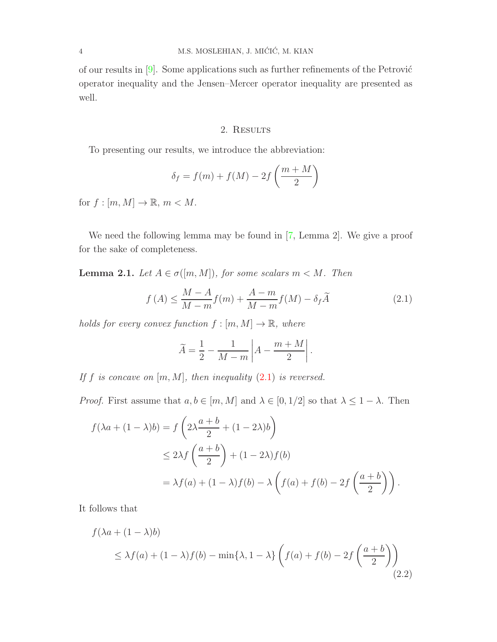of our results in  $[9]$ . Some applications such as further refinements of the Petrović operator inequality and the Jensen–Mercer operator inequality are presented as well.

## 2. RESULTS

To presenting our results, we introduce the abbreviation:

$$
\delta_f = f(m) + f(M) - 2f\left(\frac{m+M}{2}\right)
$$

for  $f : [m, M] \to \mathbb{R}, m < M$ .

We need the following lemma may be found in [\[7,](#page-16-4) Lemma 2]. We give a proof for the sake of completeness.

<span id="page-3-2"></span>**Lemma 2.1.** Let  $A \in \sigma([m, M])$ , for some scalars  $m < M$ . Then

<span id="page-3-0"></span>
$$
f(A) \le \frac{M-A}{M-m} f(m) + \frac{A-m}{M-m} f(M) - \delta_f \widetilde{A}
$$
\n(2.1)

holds for every convex function  $f : [m, M] \to \mathbb{R}$ , where

$$
\widetilde{A} = \frac{1}{2} - \frac{1}{M-m} \left| A - \frac{m+M}{2} \right|.
$$

If f is concave on  $[m, M]$ , then inequality  $(2.1)$  is reversed.

*Proof.* First assume that  $a, b \in [m, M]$  and  $\lambda \in [0, 1/2]$  so that  $\lambda \leq 1 - \lambda$ . Then

$$
f(\lambda a + (1 - \lambda)b) = f\left(2\lambda \frac{a+b}{2} + (1 - 2\lambda)b\right)
$$
  
\n
$$
\leq 2\lambda f\left(\frac{a+b}{2}\right) + (1 - 2\lambda)f(b)
$$
  
\n
$$
= \lambda f(a) + (1 - \lambda)f(b) - \lambda\left(f(a) + f(b) - 2f\left(\frac{a+b}{2}\right)\right).
$$

It follows that

<span id="page-3-1"></span>
$$
f(\lambda a + (1 - \lambda)b)
$$
  
\n
$$
\leq \lambda f(a) + (1 - \lambda)f(b) - \min\{\lambda, 1 - \lambda\} \left( f(a) + f(b) - 2f\left(\frac{a+b}{2}\right) \right)
$$
\n(2.2)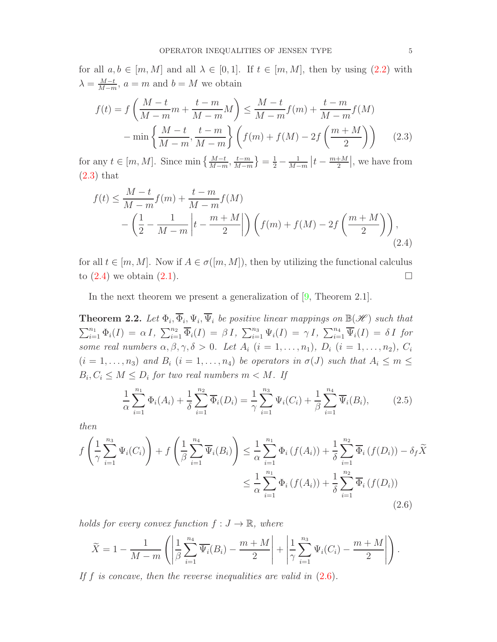for all  $a, b \in [m, M]$  and all  $\lambda \in [0, 1]$ . If  $t \in [m, M]$ , then by using  $(2.2)$  with  $\lambda = \frac{M-t}{M-m}$  $\frac{M-t}{M-m}$ ,  $a = m$  and  $b = M$  we obtain

<span id="page-4-0"></span>
$$
f(t) = f\left(\frac{M-t}{M-m}m + \frac{t-m}{M-m}M\right) \le \frac{M-t}{M-m}f(m) + \frac{t-m}{M-m}f(M)
$$

$$
-\min\left\{\frac{M-t}{M-m}, \frac{t-m}{M-m}\right\} \left(f(m) + f(M) - 2f\left(\frac{m+M}{2}\right)\right) \tag{2.3}
$$

for any  $t \in [m, M]$ . Since min  $\left\{ \frac{M-t}{M-m}, \frac{t-m}{M-n} \right\}$  $\frac{t-m}{M-m}$ } =  $\frac{1}{2} - \frac{1}{M-1}$  $\frac{1}{M-m}\left| t-\frac{m+M}{2}\right|$  $\frac{+M}{2}$ , we have from [\(2.3\)](#page-4-0) that

<span id="page-4-1"></span>
$$
f(t) \le \frac{M-t}{M-m} f(m) + \frac{t-m}{M-m} f(M)
$$
  
 
$$
- \left(\frac{1}{2} - \frac{1}{M-m} \left| t - \frac{m+M}{2} \right| \right) \left( f(m) + f(M) - 2f\left(\frac{m+M}{2}\right) \right),
$$
 (2.4)

for all  $t \in [m, M]$ . Now if  $A \in \sigma([m, M])$ , then by utilizing the functional calculus to  $(2.4)$  we obtain  $(2.1)$ .

In the next theorem we present a generalization of [\[9,](#page-16-6) Theorem 2.1].

<span id="page-4-4"></span>**Theorem 2.2.** Let  $\Phi_i$ ,  $\overline{\Phi}_i$ ,  $\Psi_i$ ,  $\overline{\Psi}_i$  be positive linear mappings on  $\mathbb{B}(\mathscr{H})$  such that  $\sum_{i=1}^{n_1} \Phi_i(I) = \alpha I$ ,  $\sum_{i=1}^{n_2} \overline{\Phi}_i(I) = \beta I$ ,  $\sum_{i=1}^{n_3} \Psi_i(I) = \gamma I$ ,  $\sum_{i=1}^{n_4} \overline{\Psi}_i(I) = \delta I$  for some real numbers  $\alpha, \beta, \gamma, \delta > 0$ . Let  $A_i$   $(i = 1, \ldots, n_1)$ ,  $D_i$   $(i = 1, \ldots, n_2)$ ,  $C_i$  $(i = 1, \ldots, n_3)$  and  $B_i$   $(i = 1, \ldots, n_4)$  be operators in  $\sigma(J)$  such that  $A_i \leq m \leq$  $B_i, C_i \leq M \leq D_i$  for two real numbers  $m < M$ . If

<span id="page-4-3"></span><span id="page-4-2"></span>
$$
\frac{1}{\alpha} \sum_{i=1}^{n_1} \Phi_i(A_i) + \frac{1}{\delta} \sum_{i=1}^{n_2} \overline{\Phi}_i(D_i) = \frac{1}{\gamma} \sum_{i=1}^{n_3} \Psi_i(C_i) + \frac{1}{\beta} \sum_{i=1}^{n_4} \overline{\Psi}_i(B_i),
$$
(2.5)

then

$$
f\left(\frac{1}{\gamma}\sum_{i=1}^{n_3}\Psi_i(C_i)\right) + f\left(\frac{1}{\beta}\sum_{i=1}^{n_4}\overline{\Psi}_i(B_i)\right) \leq \frac{1}{\alpha}\sum_{i=1}^{n_1}\Phi_i\left(f(A_i)\right) + \frac{1}{\delta}\sum_{i=1}^{n_2}\overline{\Phi}_i\left(f(D_i)\right) - \delta_f\widetilde{X}
$$

$$
\leq \frac{1}{\alpha}\sum_{i=1}^{n_1}\Phi_i\left(f(A_i)\right) + \frac{1}{\delta}\sum_{i=1}^{n_2}\overline{\Phi}_i\left(f(D_i)\right)
$$
(2.6)

holds for every convex function  $f: J \to \mathbb{R}$ , where

$$
\widetilde{X} = 1 - \frac{1}{M-m} \left( \left| \frac{1}{\beta} \sum_{i=1}^{n_4} \overline{\Psi_i}(B_i) - \frac{m+M}{2} \right| + \left| \frac{1}{\gamma} \sum_{i=1}^{n_3} \Psi_i(C_i) - \frac{m+M}{2} \right| \right).
$$

If f is concave, then the reverse inequalities are valid in  $(2.6)$ .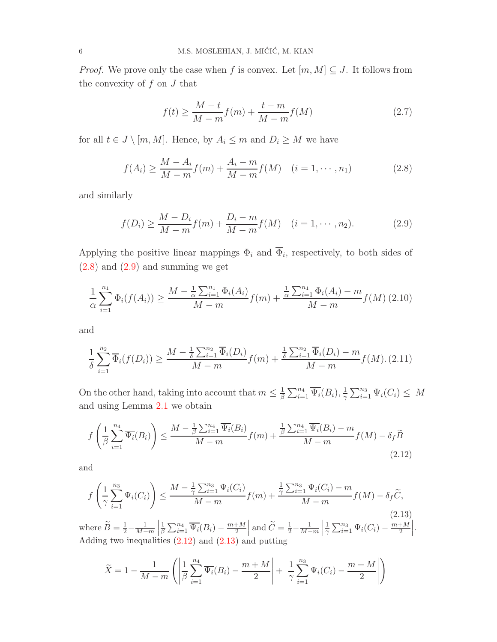*Proof.* We prove only the case when f is convex. Let  $[m, M] \subseteq J$ . It follows from the convexity of  $f$  on  $J$  that

$$
f(t) \ge \frac{M-t}{M-m} f(m) + \frac{t-m}{M-m} f(M)
$$
\n(2.7)

for all  $t \in J \setminus [m, M]$ . Hence, by  $A_i \leq m$  and  $D_i \geq M$  we have

<span id="page-5-0"></span>
$$
f(A_i) \ge \frac{M - A_i}{M - m} f(m) + \frac{A_i - m}{M - m} f(M) \quad (i = 1, \cdots, n_1)
$$
 (2.8)

and similarly

<span id="page-5-1"></span>
$$
f(D_i) \ge \frac{M - D_i}{M - m} f(m) + \frac{D_i - m}{M - m} f(M) \quad (i = 1, \cdots, n_2).
$$
 (2.9)

Applying the positive linear mappings  $\Phi_i$  and  $\Phi_i$ , respectively, to both sides of  $(2.8)$  and  $(2.9)$  and summing we get

<span id="page-5-4"></span>
$$
\frac{1}{\alpha} \sum_{i=1}^{n_1} \Phi_i(f(A_i)) \ge \frac{M - \frac{1}{\alpha} \sum_{i=1}^{n_1} \Phi_i(A_i)}{M - m} f(m) + \frac{\frac{1}{\alpha} \sum_{i=1}^{n_1} \Phi_i(A_i) - m}{M - m} f(M)
$$
(2.10)

and

<span id="page-5-5"></span>
$$
\frac{1}{\delta} \sum_{i=1}^{n_2} \overline{\Phi}_i(f(D_i)) \ge \frac{M - \frac{1}{\delta} \sum_{i=1}^{n_2} \overline{\Phi}_i(D_i)}{M - m} f(m) + \frac{\frac{1}{\delta} \sum_{i=1}^{n_2} \overline{\Phi}_i(D_i) - m}{M - m} f(M). (2.11)
$$

On the other hand, taking into account that  $m \leq \frac{1}{\beta}$  $\frac{1}{\beta}\sum_{i=1}^{n_4} \overline{\Psi_i}(B_i), \frac{1}{\gamma}$  $\frac{1}{\gamma} \sum_{i=1}^{n_3} \Psi_i(C_i) \leq M$ and using Lemma [2.1](#page-3-2) we obtain

<span id="page-5-2"></span>
$$
f\left(\frac{1}{\beta}\sum_{i=1}^{n_4}\overline{\Psi_i}(B_i)\right) \le \frac{M - \frac{1}{\beta}\sum_{i=1}^{n_4}\overline{\Psi_i}(B_i)}{M - m}f(m) + \frac{\frac{1}{\beta}\sum_{i=1}^{n_4}\overline{\Psi_i}(B_i) - m}{M - m}f(M) - \delta_f\widetilde{B}
$$
\n(2.12)

and

<span id="page-5-3"></span>
$$
f\left(\frac{1}{\gamma}\sum_{i=1}^{n_3}\Psi_i(C_i)\right) \le \frac{M - \frac{1}{\gamma}\sum_{i=1}^{n_3}\Psi_i(C_i)}{M - m}f(m) + \frac{\frac{1}{\gamma}\sum_{i=1}^{n_3}\Psi_i(C_i) - m}{M - m}f(M) - \delta_f\widetilde{C},\tag{2.13}
$$

where  $\widetilde{B} = \frac{1}{2} - \frac{1}{M-1}$ M−m 1  $\frac{1}{\beta}\sum_{i=1}^{n_4} \overline{\Psi_i}(B_i) - \frac{m+M}{2}$ and  $\widetilde{C} = \frac{1}{2} - \frac{1}{M-1}$  $M-m$  1  $\frac{1}{\gamma} \sum_{i=1}^{n_3} \Psi_i(C_i) - \frac{m+M}{2}$   . Adding two inequalities  $(2.12)$  and  $(2.13)$  and putting

$$
\widetilde{X} = 1 - \frac{1}{M-m} \left( \left| \frac{1}{\beta} \sum_{i=1}^{n_4} \overline{\Psi_i}(B_i) - \frac{m+M}{2} \right| + \left| \frac{1}{\gamma} \sum_{i=1}^{n_3} \Psi_i(C_i) - \frac{m+M}{2} \right| \right)
$$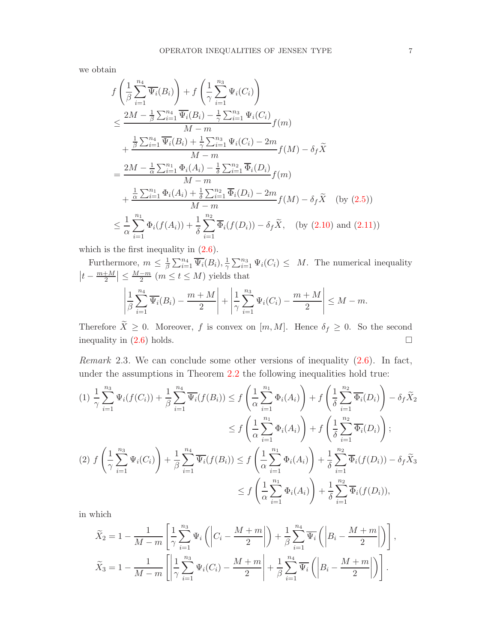we obtain

$$
f\left(\frac{1}{\beta}\sum_{i=1}^{n_4}\overline{\Psi_i}(B_i)\right) + f\left(\frac{1}{\gamma}\sum_{i=1}^{n_3}\Psi_i(C_i)\right)
$$
  
\n
$$
\leq \frac{2M - \frac{1}{\beta}\sum_{i=1}^{n_4}\overline{\Psi_i}(B_i) - \frac{1}{\gamma}\sum_{i=1}^{n_3}\Psi_i(C_i)}{M - m}f(m)
$$
  
\n
$$
+ \frac{\frac{1}{\beta}\sum_{i=1}^{n_4}\overline{\Psi_i}(B_i) + \frac{1}{\gamma}\sum_{i=1}^{n_3}\Psi_i(C_i) - 2m}{M - m}f(M) - \delta_f\widetilde{X}
$$
  
\n
$$
= \frac{2M - \frac{1}{\alpha}\sum_{i=1}^{n_1}\Phi_i(A_i) - \frac{1}{\delta}\sum_{i=1}^{n_2}\overline{\Phi_i}(D_i)}{M - m}f(m)
$$
  
\n
$$
+ \frac{\frac{1}{\alpha}\sum_{i=1}^{n_1}\Phi_i(A_i) + \frac{1}{\delta}\sum_{i=1}^{n_2}\overline{\Phi_i}(D_i) - 2m}{M - m}f(M) - \delta_f\widetilde{X} \quad \text{(by (2.5))}
$$
  
\n
$$
\leq \frac{1}{\alpha}\sum_{i=1}^{n_1}\Phi_i(f(A_i)) + \frac{1}{\delta}\sum_{i=1}^{n_2}\overline{\Phi_i}(f(D_i)) - \delta_f\widetilde{X}, \quad \text{(by (2.10) and (2.11))}
$$

which is the first inequality in [\(2.6\)](#page-4-2).

Furthermore,  $m \leq \frac{1}{\beta}$  $\frac{1}{\beta}\sum_{i=1}^{n_4} \overline{\Psi_i}(B_i), \frac{1}{\gamma}$  $\frac{1}{\gamma} \sum_{i=1}^{n_3} \Psi_i(C_i) \leq M$ . The numerical inequality  $|t - \frac{m+M}{2}| \leq \frac{M-m}{2}$   $(m \leq t \leq M)$  yields that

$$
\left|\frac{1}{\beta}\sum_{i=1}^{n_4}\overline{\Psi_i}(B_i)-\frac{m+M}{2}\right|+\left|\frac{1}{\gamma}\sum_{i=1}^{n_3}\Psi_i(C_i)-\frac{m+M}{2}\right|\leq M-m.
$$

Therefore  $\widetilde{X} \geq 0$ . Moreover, f is convex on  $[m, M]$ . Hence  $\delta_f \geq 0$ . So the second inequality in  $(2.6)$  holds.

Remark 2.3. We can conclude some other versions of inequality [\(2.6\)](#page-4-2). In fact, under the assumptions in Theorem [2.2](#page-4-4) the following inequalities hold true:

$$
(1) \frac{1}{\gamma} \sum_{i=1}^{n_3} \Psi_i(f(C_i)) + \frac{1}{\beta} \sum_{i=1}^{n_4} \overline{\Psi_i}(f(B_i)) \le f\left(\frac{1}{\alpha} \sum_{i=1}^{n_1} \Phi_i(A_i)\right) + f\left(\frac{1}{\delta} \sum_{i=1}^{n_2} \overline{\Phi_i}(D_i)\right) - \delta_f \widetilde{X}_2
$$
  
\n
$$
\le f\left(\frac{1}{\alpha} \sum_{i=1}^{n_1} \Phi_i(A_i)\right) + f\left(\frac{1}{\delta} \sum_{i=1}^{n_2} \overline{\Phi_i}(D_i)\right);
$$
  
\n(2)  $f\left(\frac{1}{\gamma} \sum_{i=1}^{n_3} \Psi_i(C_i)\right) + \frac{1}{\beta} \sum_{i=1}^{n_4} \overline{\Psi_i}(f(B_i)) \le f\left(\frac{1}{\alpha} \sum_{i=1}^{n_1} \Phi_i(A_i)\right) + \frac{1}{\delta} \sum_{i=1}^{n_2} \overline{\Phi_i}(f(D_i)) - \delta_f \widetilde{X}_3$   
\n
$$
\le f\left(\frac{1}{\alpha} \sum_{i=1}^{n_1} \Phi_i(A_i)\right) + \frac{1}{\delta} \sum_{i=1}^{n_2} \overline{\Phi_i}(f(D_i)),
$$

in which

$$
\widetilde{X}_2 = 1 - \frac{1}{M-m} \left[ \frac{1}{\gamma} \sum_{i=1}^{n_3} \Psi_i \left( \left| C_i - \frac{M+m}{2} \right| \right) + \frac{1}{\beta} \sum_{i=1}^{n_4} \overline{\Psi_i} \left( \left| B_i - \frac{M+m}{2} \right| \right) \right],
$$
  

$$
\widetilde{X}_3 = 1 - \frac{1}{M-m} \left[ \left| \frac{1}{\gamma} \sum_{i=1}^{n_3} \Psi_i(C_i) - \frac{M+m}{2} \right| + \frac{1}{\beta} \sum_{i=1}^{n_4} \overline{\Psi_i} \left( \left| B_i - \frac{M+m}{2} \right| \right) \right].
$$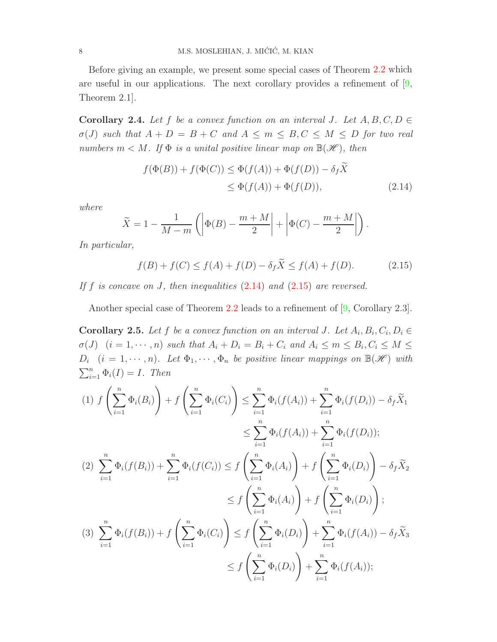Before giving an example, we present some special cases of Theorem [2.2](#page-4-4) which are useful in our applications. The next corollary provides a refinement of  $[9,$ Theorem 2.1].

**Corollary 2.4.** Let f be a convex function on an interval J. Let  $A, B, C, D \in$  $\sigma(J)$  such that  $A + D = B + C$  and  $A \leq m \leq B, C \leq M \leq D$  for two real numbers  $m < M$ . If  $\Phi$  is a unital positive linear map on  $\mathbb{B}(\mathcal{H})$ , then

<span id="page-7-0"></span>
$$
f(\Phi(B)) + f(\Phi(C)) \le \Phi(f(A)) + \Phi(f(D)) - \delta_f X
$$
  

$$
\le \Phi(f(A)) + \Phi(f(D)), \tag{2.14}
$$

where

$$
\widetilde{X} = 1 - \frac{1}{M-m} \left( \left| \Phi(B) - \frac{m+M}{2} \right| + \left| \Phi(C) - \frac{m+M}{2} \right| \right).
$$

In particular,

<span id="page-7-1"></span>
$$
f(B) + f(C) \le f(A) + f(D) - \delta_f \tilde{X} \le f(A) + f(D). \tag{2.15}
$$

If f is concave on J, then inequalities  $(2.14)$  and  $(2.15)$  are reversed.

Another special case of Theorem [2.2](#page-4-4) leads to a refinement of [\[9,](#page-16-6) Corollary 2.3].

<span id="page-7-2"></span>**Corollary 2.5.** Let f be a convex function on an interval J. Let  $A_i, B_i, C_i, D_i \in$  $\sigma(J)$   $(i = 1, \dots, n)$  such that  $A_i + D_i = B_i + C_i$  and  $A_i \leq m \leq B_i, C_i \leq M \leq n$  $D_i$   $(i = 1, \dots, n)$ . Let  $\Phi_1, \dots, \Phi_n$  be positive linear mappings on  $\mathbb{B}(\mathscr{H})$  with  $\sum_{i=1}^{n} \Phi_i(I) = I$ . Then

$$
(1) \ f\left(\sum_{i=1}^{n} \Phi_{i}(B_{i})\right) + f\left(\sum_{i=1}^{n} \Phi_{i}(C_{i})\right) \leq \sum_{i=1}^{n} \Phi_{i}(f(A_{i})) + \sum_{i=1}^{n} \Phi_{i}(f(D_{i})) - \delta_{f}\tilde{X}_{1}
$$
  
\n
$$
\leq \sum_{i=1}^{n} \Phi_{i}(f(A_{i})) + \sum_{i=1}^{n} \Phi_{i}(f(D_{i}));
$$
  
\n
$$
(2) \ \sum_{i=1}^{n} \Phi_{i}(f(B_{i})) + \sum_{i=1}^{n} \Phi_{i}(f(C_{i})) \leq f\left(\sum_{i=1}^{n} \Phi_{i}(A_{i})\right) + f\left(\sum_{i=1}^{n} \Phi_{i}(D_{i})\right) - \delta_{f}\tilde{X}_{2}
$$
  
\n
$$
\leq f\left(\sum_{i=1}^{n} \Phi_{i}(A_{i})\right) + f\left(\sum_{i=1}^{n} \Phi_{i}(D_{i})\right);
$$
  
\n
$$
(3) \ \sum_{i=1}^{n} \Phi_{i}(f(B_{i})) + f\left(\sum_{i=1}^{n} \Phi_{i}(C_{i})\right) \leq f\left(\sum_{i=1}^{n} \Phi_{i}(D_{i})\right) + \sum_{i=1}^{n} \Phi_{i}(f(A_{i})) - \delta_{f}\tilde{X}_{3}
$$
  
\n
$$
\leq f\left(\sum_{i=1}^{n} \Phi_{i}(D_{i})\right) + \sum_{i=1}^{n} \Phi_{i}(f(A_{i}));
$$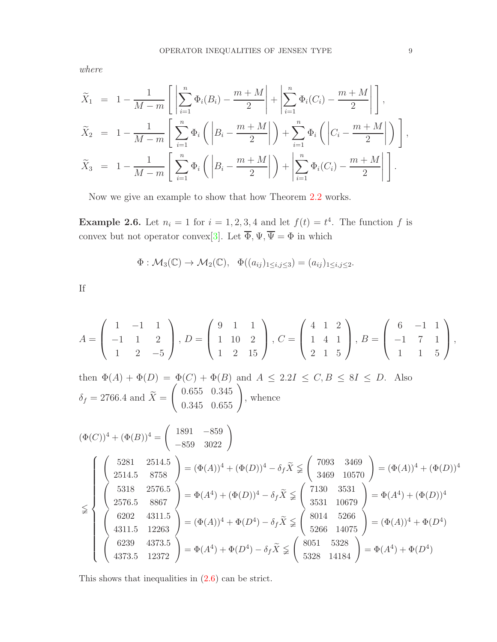where

$$
\widetilde{X}_1 = 1 - \frac{1}{M - m} \left[ \left| \sum_{i=1}^n \Phi_i(B_i) - \frac{m + M}{2} \right| + \left| \sum_{i=1}^n \Phi_i(C_i) - \frac{m + M}{2} \right| \right],
$$
\n
$$
\widetilde{X}_2 = 1 - \frac{1}{M - m} \left[ \sum_{i=1}^n \Phi_i \left( \left| B_i - \frac{m + M}{2} \right| \right) + \sum_{i=1}^n \Phi_i \left( \left| C_i - \frac{m + M}{2} \right| \right) \right],
$$
\n
$$
\widetilde{X}_3 = 1 - \frac{1}{M - m} \left[ \sum_{i=1}^n \Phi_i \left( \left| B_i - \frac{m + M}{2} \right| \right) + \left| \sum_{i=1}^n \Phi_i(C_i) - \frac{m + M}{2} \right| \right].
$$

Now we give an example to show that how Theorem [2.2](#page-4-4) works.

**Example 2.6.** Let  $n_i = 1$  for  $i = 1, 2, 3, 4$  and let  $f(t) = t^4$ . The function f is convex but not operator convex[\[3\]](#page-16-0). Let  $\Phi, \Psi, \Psi = \Phi$  in which

$$
\Phi: \mathcal{M}_3(\mathbb{C}) \to \mathcal{M}_2(\mathbb{C}), \quad \Phi((a_{ij})_{1 \le i,j \le 3}) = (a_{ij})_{1 \le i,j \le 2}.
$$

If

$$
A = \begin{pmatrix} 1 & -1 & 1 \\ -1 & 1 & 2 \\ 1 & 2 & -5 \end{pmatrix}, D = \begin{pmatrix} 9 & 1 & 1 \\ 1 & 10 & 2 \\ 1 & 2 & 15 \end{pmatrix}, C = \begin{pmatrix} 4 & 1 & 2 \\ 1 & 4 & 1 \\ 2 & 1 & 5 \end{pmatrix}, B = \begin{pmatrix} 6 & -1 & 1 \\ -1 & 7 & 1 \\ 1 & 1 & 5 \end{pmatrix},
$$

then  $\Phi(A) + \Phi(D) = \Phi(C) + \Phi(B)$  and  $A \leq 2.2I \leq C, B \leq 8I \leq D$ . Also  $\delta_f = 2766.4$  and  $X =$  $\left(\begin{array}{cc} 0.655 & 0.345 \\ 0.345 & 0.655 \end{array}\right)$ , whence  $(\Phi(C))^4 + (\Phi(B))^4 =$  $\left( \begin{array}{cc} 1891 & -859 \\ -859 & 3022 \end{array} \right)$ 

$$
(\Phi(C))^4 + (\Phi(B))^4 = \begin{pmatrix} -859 & 3022 \ 2514.5 & 8758 \ 2514.5 & 8758 \end{pmatrix} = (\Phi(A))^4 + (\Phi(D))^4 - \delta_f \tilde{X} \leq \begin{pmatrix} 7093 & 3469 \ 3469 & 10570 \end{pmatrix} = (\Phi(A))^4 + (\Phi(D))^4
$$
  
\n
$$
\leq \begin{pmatrix} 5318 & 2576.5 \ 2576.5 & 8867 \ 2576.5 & 8867 \ 4311.5 & 12263 \end{pmatrix} = (\Phi(A))^4 + (\Phi(D))^4 - \delta_f \tilde{X} \leq \begin{pmatrix} 7130 & 3531 \ 3531 & 10679 \ 5531 & 10679 \end{pmatrix} = \Phi(A^4) + (\Phi(D))^4
$$
  
\n
$$
\begin{pmatrix} 6202 & 4311.5 \ 4311.5 & 12263 \ 4311.5 & 12263 \end{pmatrix} = (\Phi(A))^4 + \Phi(D^4) - \delta_f \tilde{X} \leq \begin{pmatrix} 8014 & 5266 \ 5266 & 14075 \ 5266 & 14075 \end{pmatrix} = (\Phi(A))^4 + \Phi(D^4)
$$
  
\n
$$
\begin{pmatrix} 6239 & 4373.5 \ 4373.5 & 12372 \end{pmatrix} = \Phi(A^4) + \Phi(D^4) - \delta_f \tilde{X} \leq \begin{pmatrix} 8051 & 5328 \ 5328 & 14184 \end{pmatrix} = \Phi(A^4) + \Phi(D^4)
$$

This shows that inequalities in [\(2.6\)](#page-4-2) can be strict.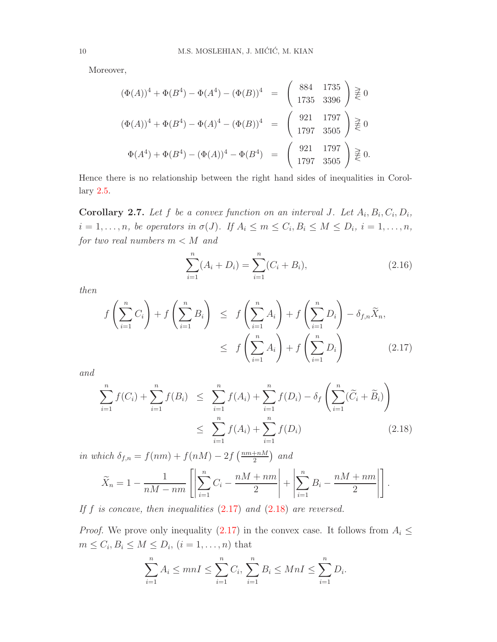Moreover,

$$
(\Phi(A))^4 + \Phi(B^4) - \Phi(A^4) - (\Phi(B))^4 = \begin{pmatrix} 884 & 1735 \\ 1735 & 3396 \end{pmatrix} \geq 0
$$
  

$$
(\Phi(A))^4 + \Phi(B^4) - \Phi(A)^4 - (\Phi(B))^4 = \begin{pmatrix} 921 & 1797 \\ 1797 & 3505 \end{pmatrix} \geq 0
$$
  

$$
\Phi(A^4) + \Phi(B^4) - (\Phi(A))^4 - \Phi(B^4) = \begin{pmatrix} 921 & 1797 \\ 1797 & 3505 \end{pmatrix} \geq 0.
$$

Hence there is no relationship between the right hand sides of inequalities in Corollary [2.5.](#page-7-2)

**Corollary 2.7.** Let f be a convex function on an interval J. Let  $A_i, B_i, C_i, D_i$ ,  $i = 1, \ldots, n$ , be operators in  $\sigma(J)$ . If  $A_i \leq m \leq C_i, B_i \leq M \leq D_i$ ,  $i = 1, \ldots, n$ , for two real numbers  $m < M$  and

<span id="page-9-2"></span>
$$
\sum_{i=1}^{n} (A_i + D_i) = \sum_{i=1}^{n} (C_i + B_i),
$$
\n(2.16)

then

<span id="page-9-0"></span>
$$
f\left(\sum_{i=1}^{n} C_i\right) + f\left(\sum_{i=1}^{n} B_i\right) \leq f\left(\sum_{i=1}^{n} A_i\right) + f\left(\sum_{i=1}^{n} D_i\right) - \delta_{f,n} \widetilde{X}_n,
$$
  

$$
\leq f\left(\sum_{i=1}^{n} A_i\right) + f\left(\sum_{i=1}^{n} D_i\right) \tag{2.17}
$$

and

<span id="page-9-1"></span>
$$
\sum_{i=1}^{n} f(C_i) + \sum_{i=1}^{n} f(B_i) \leq \sum_{i=1}^{n} f(A_i) + \sum_{i=1}^{n} f(D_i) - \delta_f \left( \sum_{i=1}^{n} (\widetilde{C}_i + \widetilde{B}_i) \right)
$$
\n
$$
\leq \sum_{i=1}^{n} f(A_i) + \sum_{i=1}^{n} f(D_i) \tag{2.18}
$$

in which  $\delta_{f,n} = f(nm) + f(nM) - 2f\left(\frac{nm+nM}{2}\right)$  and

$$
\widetilde{X}_n = 1 - \frac{1}{nM - nm} \left[ \left| \sum_{i=1}^n C_i - \frac{nM + nm}{2} \right| + \left| \sum_{i=1}^n B_i - \frac{nM + nm}{2} \right| \right].
$$

If f is concave, then inequalities  $(2.17)$  and  $(2.18)$  are reversed.

*Proof.* We prove only inequality [\(2.17\)](#page-9-0) in the convex case. It follows from  $A_i \leq$  $m \leq C_i, B_i \leq M \leq D_i, (i = 1, \ldots, n)$  that

$$
\sum_{i=1}^{n} A_i \le mnI \le \sum_{i=1}^{n} C_i, \sum_{i=1}^{n} B_i \le MnI \le \sum_{i=1}^{n} D_i.
$$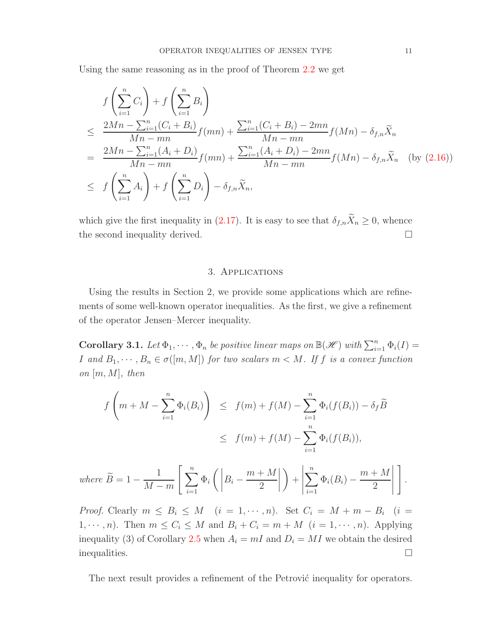Using the same reasoning as in the proof of Theorem [2.2](#page-4-4) we get

$$
f\left(\sum_{i=1}^{n} C_{i}\right) + f\left(\sum_{i=1}^{n} B_{i}\right)
$$
  
\n
$$
\leq \frac{2Mn - \sum_{i=1}^{n} (C_{i} + B_{i})}{Mn - mn} f(mn) + \frac{\sum_{i=1}^{n} (C_{i} + B_{i}) - 2mn}{Mn - mn} f(Mn) - \delta_{f,n} \widetilde{X}_{n}
$$
  
\n
$$
= \frac{2Mn - \sum_{i=1}^{n} (A_{i} + D_{i})}{Mn - mn} f(mn) + \frac{\sum_{i=1}^{n} (A_{i} + D_{i}) - 2mn}{Mn - mn} f(Mn) - \delta_{f,n} \widetilde{X}_{n} \quad \text{(by (2.16))}
$$
  
\n
$$
\leq f\left(\sum_{i=1}^{n} A_{i}\right) + f\left(\sum_{i=1}^{n} D_{i}\right) - \delta_{f,n} \widetilde{X}_{n},
$$

which give the first inequality in [\(2.17\)](#page-9-0). It is easy to see that  $\delta_{f,n}\widetilde{X}_n \geq 0$ , whence the second inequality derived.

## 3. Applications

Using the results in Section 2, we provide some applications which are refinements of some well-known operator inequalities. As the first, we give a refinement of the operator Jensen–Mercer inequality.

**Corollary 3.1.** Let  $\Phi_1, \dots, \Phi_n$  be positive linear maps on  $\mathbb{B}(\mathscr{H})$  with  $\sum_{i=1}^n \Phi_i(I) =$ I and  $B_1, \dots, B_n \in \sigma([m, M])$  for two scalars  $m < M$ . If f is a convex function on  $[m, M]$ , then

$$
f\left(m+M-\sum_{i=1}^{n}\Phi_{i}(B_{i})\right) \leq f(m)+f(M)-\sum_{i=1}^{n}\Phi_{i}(f(B_{i}))-\delta_{f}\widetilde{B}
$$
  

$$
\leq f(m)+f(M)-\sum_{i=1}^{n}\Phi_{i}(f(B_{i})),
$$

where 
$$
\widetilde{B} = 1 - \frac{1}{M-m} \left[ \sum_{i=1}^{n} \Phi_i \left( \left| B_i - \frac{m+M}{2} \right| \right) + \left| \sum_{i=1}^{n} \Phi_i(B_i) - \frac{m+M}{2} \right| \right].
$$

Proof. Clearly  $m \leq B_i \leq M$   $(i = 1, \dots, n)$ . Set  $C_i = M + m - B_i$   $(i =$  $1, \dots, n$ . Then  $m \leq C_i \leq M$  and  $B_i + C_i = m + M$   $(i = 1, \dots, n)$ . Applying inequality (3) of Corollary [2.5](#page-7-2) when  $A_i = mI$  and  $D_i = MI$  we obtain the desired inequalities.  $\Box$ 

The next result provides a refinement of the Petrović inequality for operators.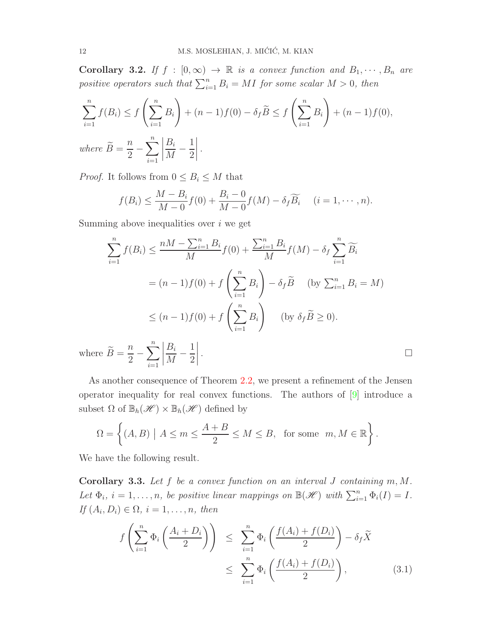**Corollary 3.2.** If  $f : [0, \infty) \to \mathbb{R}$  is a convex function and  $B_1, \dots, B_n$  are positive operators such that  $\sum_{i=1}^{n} B_i = MI$  for some scalar  $M > 0$ , then

$$
\sum_{i=1}^{n} f(B_i) \le f\left(\sum_{i=1}^{n} B_i\right) + (n-1)f(0) - \delta_f \widetilde{B} \le f\left(\sum_{i=1}^{n} B_i\right) + (n-1)f(0),
$$
  
where  $\widetilde{B} = \frac{n}{2} - \sum_{i=1}^{n} \left|\frac{B_i}{M} - \frac{1}{2}\right|$ .

*Proof.* It follows from  $0 \leq B_i \leq M$  that

$$
f(B_i) \leq \frac{M-B_i}{M-0}f(0) + \frac{B_i-0}{M-0}f(M) - \delta_f \widetilde{B_i} \quad (i=1,\cdots,n).
$$

Summing above inequalities over  $i$  we get

$$
\sum_{i=1}^{n} f(B_i) \le \frac{nM - \sum_{i=1}^{n} B_i}{M} f(0) + \frac{\sum_{i=1}^{n} B_i}{M} f(M) - \delta_f \sum_{i=1}^{n} \widetilde{B_i}
$$

$$
= (n-1)f(0) + f\left(\sum_{i=1}^{n} B_i\right) - \delta_f \widetilde{B} \quad \text{(by } \sum_{i=1}^{n} B_i = M)
$$

$$
\le (n-1)f(0) + f\left(\sum_{i=1}^{n} B_i\right) \quad \text{(by } \delta_f \widetilde{B} \ge 0).
$$

where  $B =$  $\overline{n}$ 2  $-\sum_{n=1}^{n}$  $i=1$   $B_i$ M − 1 2 .

As another consequence of Theorem [2.2,](#page-4-4) we present a refinement of the Jensen operator inequality for real convex functions. The authors of [\[9\]](#page-16-6) introduce a subset  $\Omega$  of  $\mathbb{B}_h(\mathscr{H}) \times \mathbb{B}_h(\mathscr{H})$  defined by

$$
\Omega = \left\{ (A, B) \mid A \le m \le \frac{A + B}{2} \le M \le B, \text{ for some } m, M \in \mathbb{R} \right\}.
$$

We have the following result.

<span id="page-11-1"></span>Corollary 3.3. Let  $f$  be a convex function on an interval  $J$  containing  $m, M$ . Let  $\Phi_i$ ,  $i = 1, ..., n$ , be positive linear mappings on  $\mathbb{B}(\mathscr{H})$  with  $\sum_{i=1}^n \Phi_i(I) = I$ . If  $(A_i, D_i) \in \Omega$ ,  $i = 1, \ldots, n$ , then

<span id="page-11-0"></span>
$$
f\left(\sum_{i=1}^{n} \Phi_i\left(\frac{A_i + D_i}{2}\right)\right) \leq \sum_{i=1}^{n} \Phi_i\left(\frac{f(A_i) + f(D_i)}{2}\right) - \delta_f \widetilde{X}
$$
  

$$
\leq \sum_{i=1}^{n} \Phi_i\left(\frac{f(A_i) + f(D_i)}{2}\right), \tag{3.1}
$$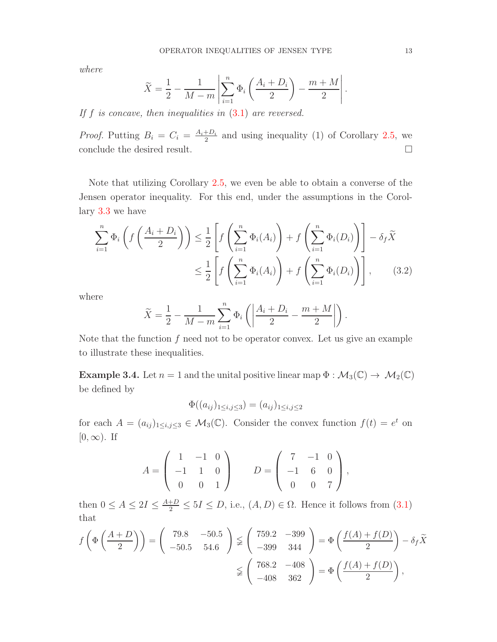where

$$
\widetilde{X} = \frac{1}{2} - \frac{1}{M-m} \left| \sum_{i=1}^{n} \Phi_i \left( \frac{A_i + D_i}{2} \right) - \frac{m+M}{2} \right|.
$$

If  $f$  is concave, then inequalities in  $(3.1)$  are reversed.

*Proof.* Putting  $B_i = C_i = \frac{A_i + D_i}{2}$  $\frac{1+D_i}{2}$  and using inequality (1) of Corollary [2.5,](#page-7-2) we conclude the desired result.  $\hfill \square$ 

Note that utilizing Corollary [2.5,](#page-7-2) we even be able to obtain a converse of the Jensen operator inequality. For this end, under the assumptions in the Corollary [3.3](#page-11-1) we have

$$
\sum_{i=1}^{n} \Phi_i \left( f\left(\frac{A_i + D_i}{2}\right) \right) \leq \frac{1}{2} \left[ f\left(\sum_{i=1}^{n} \Phi_i(A_i)\right) + f\left(\sum_{i=1}^{n} \Phi_i(D_i)\right) \right] - \delta_f \widetilde{X}
$$

$$
\leq \frac{1}{2} \left[ f\left(\sum_{i=1}^{n} \Phi_i(A_i)\right) + f\left(\sum_{i=1}^{n} \Phi_i(D_i)\right) \right], \qquad (3.2)
$$

where

$$
\widetilde{X} = \frac{1}{2} - \frac{1}{M-m} \sum_{i=1}^{n} \Phi_i \left( \left| \frac{A_i + D_i}{2} - \frac{m+M}{2} \right| \right).
$$

Note that the function  $f$  need not to be operator convex. Let us give an example to illustrate these inequalities.

**Example 3.4.** Let  $n = 1$  and the unital positive linear map  $\Phi : \mathcal{M}_3(\mathbb{C}) \to \mathcal{M}_2(\mathbb{C})$ be defined by

<span id="page-12-0"></span>
$$
\Phi((a_{ij})_{1 \le i,j \le 3}) = (a_{ij})_{1 \le i,j \le 2}
$$

for each  $A = (a_{ij})_{1 \le i,j \le 3} \in M_3(\mathbb{C})$ . Consider the convex function  $f(t) = e^t$  on  $[0, \infty)$ . If

$$
A = \begin{pmatrix} 1 & -1 & 0 \\ -1 & 1 & 0 \\ 0 & 0 & 1 \end{pmatrix} \qquad D = \begin{pmatrix} 7 & -1 & 0 \\ -1 & 6 & 0 \\ 0 & 0 & 7 \end{pmatrix},
$$

then  $0 \le A \le 2I \le \frac{A+D}{2} \le 5I \le D$ , i.e.,  $(A, D) \in \Omega$ . Hence it follows from  $(3.1)$ that

$$
f\left(\Phi\left(\frac{A+D}{2}\right)\right) = \begin{pmatrix} 79.8 & -50.5 \\ -50.5 & 54.6 \end{pmatrix} \not\ge \begin{pmatrix} 759.2 & -399 \\ -399 & 344 \end{pmatrix} = \Phi\left(\frac{f(A) + f(D)}{2}\right) - \delta_f \widetilde{X}
$$

$$
\not\ge \begin{pmatrix} 768.2 & -408 \\ -408 & 362 \end{pmatrix} = \Phi\left(\frac{f(A) + f(D)}{2}\right),
$$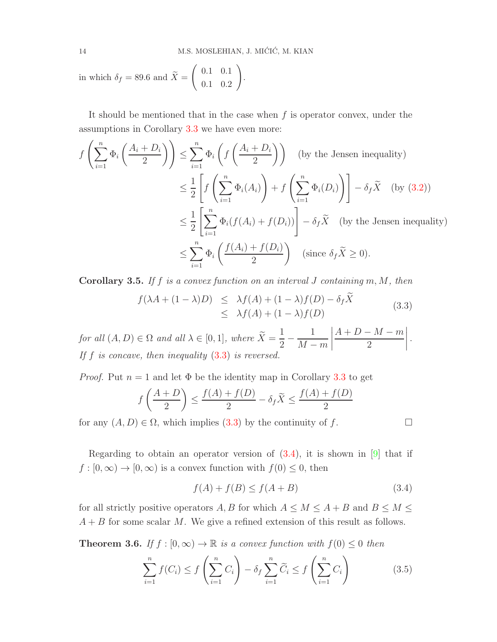in which 
$$
\delta_f = 89.6
$$
 and  $\tilde{X} = \begin{pmatrix} 0.1 & 0.1 \\ 0.1 & 0.2 \end{pmatrix}$ .

It should be mentioned that in the case when  $f$  is operator convex, under the assumptions in Corollary [3.3](#page-11-1) we have even more:

$$
f\left(\sum_{i=1}^{n} \Phi_{i}\left(\frac{A_{i}+D_{i}}{2}\right)\right) \leq \sum_{i=1}^{n} \Phi_{i}\left(f\left(\frac{A_{i}+D_{i}}{2}\right)\right) \quad \text{(by the Jensen inequality)}
$$
\n
$$
\leq \frac{1}{2} \left[ f\left(\sum_{i=1}^{n} \Phi_{i}(A_{i})\right) + f\left(\sum_{i=1}^{n} \Phi_{i}(D_{i})\right) \right] - \delta_{f} \widetilde{X} \quad \text{(by (3.2))}
$$
\n
$$
\leq \frac{1}{2} \left[ \sum_{i=1}^{n} \Phi_{i}(f(A_{i}) + f(D_{i})) \right] - \delta_{f} \widetilde{X} \quad \text{(by the Jensen inequality)}
$$
\n
$$
\leq \sum_{i=1}^{n} \Phi_{i}\left(\frac{f(A_{i}) + f(D_{i})}{2}\right) \quad \text{(since } \delta_{f} \widetilde{X} \geq 0).
$$

**Corollary 3.5.** If f is a convex function on an interval J containing  $m, M$ , then

<span id="page-13-0"></span>
$$
f(\lambda A + (1 - \lambda)D) \leq \lambda f(A) + (1 - \lambda)f(D) - \delta_f X
$$
  
 
$$
\leq \lambda f(A) + (1 - \lambda)f(D)
$$
 (3.3)

for all  $(A, D) \in \Omega$  and all  $\lambda \in [0, 1]$ , where  $\widetilde{X} = \frac{1}{2}$ 2 − 1  $M - m$   $A + D - M - m$ 2 . If f is concave, then inequality  $(3.3)$  is reversed.

*Proof.* Put  $n = 1$  and let  $\Phi$  be the identity map in Corollary [3.3](#page-11-1) to get f  $\bigwedge A + D$ 2  $\setminus$ ≤  $f(A) + f(D)$  $\frac{1}{2}$  -  $\delta_f X \leq$  $f(A) + f(D)$ 2

for any  $(A, D) \in \Omega$ , which implies [\(3.3\)](#page-13-0) by the continuity of f.

<span id="page-13-1"></span>

Regarding to obtain an operator version of  $(3.4)$ , it is shown in [\[9\]](#page-16-6) that if  $f : [0, \infty) \to [0, \infty)$  is a convex function with  $f(0) \leq 0$ , then

$$
f(A) + f(B) \le f(A + B) \tag{3.4}
$$

for all strictly positive operators A, B for which  $A \leq M \leq A + B$  and  $B \leq M \leq$  $A + B$  for some scalar M. We give a refined extension of this result as follows.

**Theorem 3.6.** If  $f : [0, \infty) \to \mathbb{R}$  is a convex function with  $f(0) \leq 0$  then

<span id="page-13-2"></span>
$$
\sum_{i=1}^{n} f(C_i) \le f\left(\sum_{i=1}^{n} C_i\right) - \delta_f \sum_{i=1}^{n} \widetilde{C}_i \le f\left(\sum_{i=1}^{n} C_i\right) \tag{3.5}
$$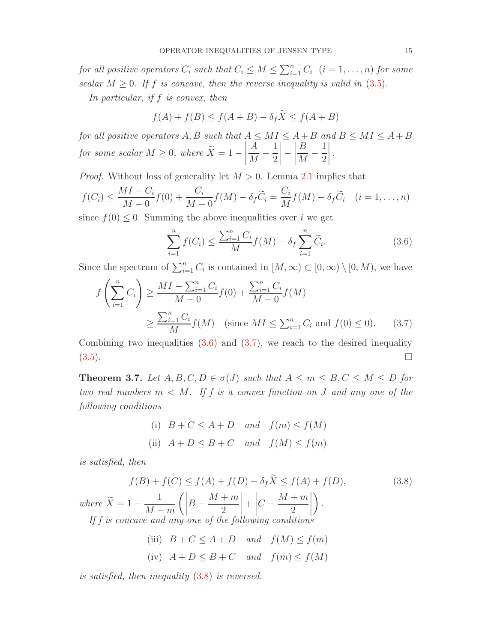for all positive operators  $C_i$  such that  $C_i \leq M \leq \sum_{i=1}^n C_i$   $(i = 1, ..., n)$  for some scalar  $M \geq 0$ . If f is concave, then the reverse inequality is valid in [\(3.5\)](#page-13-2).

In particular, if f is convex, then

$$
f(A) + f(B) \le f(A + B) - \delta_f \widetilde{X} \le f(A + B)
$$

for all positive operators  $A, B$  such that  $A \leq MI \leq A + B$  and  $B \leq MI \leq A + B$ for some scalar  $M \geq 0$ , where  $X = 1 \begin{array}{|c|c|} \hline \multicolumn{1}{|c|}{3} & \multicolumn{1}{|c|}{4} \multicolumn{1}{|c|}{5} \multicolumn{1}{|c|}{6} \multicolumn{1}{|c|}{6} \multicolumn{1}{|c|}{6} \multicolumn{1}{|c|}{6} \multicolumn{1}{|c|}{6} \multicolumn{1}{|c|}{6} \multicolumn{1}{|c|}{6} \multicolumn{1}{|c|}{6} \multicolumn{1}{|c|}{6} \multicolumn{1}{|c|}{6} \multicolumn{1}{|c|}{6} \multicolumn{1}{|c|}{6} \multicolumn{1}{|c|$ A M − 1 2     −  $\begin{array}{|c|c|} \hline \multicolumn{1}{|c|}{3} & \multicolumn{1}{|c|}{4} \multicolumn{1}{|c|}{5} \multicolumn{1}{|c|}{6} \multicolumn{1}{|c|}{6} \multicolumn{1}{|c|}{6} \multicolumn{1}{|c|}{6} \multicolumn{1}{|c|}{6} \multicolumn{1}{|c|}{6} \multicolumn{1}{|c|}{6} \multicolumn{1}{|c|}{6} \multicolumn{1}{|c|}{6} \multicolumn{1}{|c|}{6} \multicolumn{1}{|c|}{6} \multicolumn{1}{|c|}{6} \multicolumn{1}{|c|$ B M − 1 2 .

*Proof.* Without loss of generality let  $M > 0$ . Lemma [2.1](#page-3-2) implies that

$$
f(C_i) \leq \frac{MI - C_i}{M - 0} f(0) + \frac{C_i}{M - 0} f(M) - \delta_f \widetilde{C}_i = \frac{C_i}{M} f(M) - \delta_f \widetilde{C}_i \quad (i = 1, \dots, n)
$$

since  $f(0) \leq 0$ . Summing the above inequalities over i we get

<span id="page-14-1"></span><span id="page-14-0"></span>
$$
\sum_{i=1}^{n} f(C_i) \le \frac{\sum_{i=1}^{n} C_i}{M} f(M) - \delta_f \sum_{i=1}^{n} \widetilde{C}_i.
$$
 (3.6)

Since the spectrum of  $\sum_{i=1}^{n} C_i$  is contained in  $[M, \infty) \subset [0, \infty) \setminus [0, M)$ , we have

$$
f\left(\sum_{i=1}^{n} C_i\right) \ge \frac{MI - \sum_{i=1}^{n} C_i}{M - 0} f(0) + \frac{\sum_{i=1}^{n} C_i}{M - 0} f(M)
$$
  

$$
\ge \frac{\sum_{i=1}^{n} C_i}{M} f(M) \quad \text{(since } MI \le \sum_{i=1}^{n} C_i \text{ and } f(0) \le 0\text{)}.
$$
 (3.7)

Combining two inequalities  $(3.6)$  and  $(3.7)$ , we reach to the desired inequality  $(3.5)$ .

<span id="page-14-3"></span>**Theorem 3.7.** Let  $A, B, C, D \in \sigma(J)$  such that  $A \leq m \leq B, C \leq M \leq D$  for two real numbers  $m < M$ . If f is a convex function on J and any one of the following conditions

(i) 
$$
B + C \le A + D
$$
 and  $f(m) \le f(M)$   
\n(ii)  $A + D \le B + C$  and  $f(M) \le f(m)$ 

is satisfied, then

<span id="page-14-2"></span>
$$
f(B) + f(C) \le f(A) + f(D) - \delta_f \tilde{X} \le f(A) + f(D),
$$
\n
$$
(3.8)
$$
\n
$$
where \ \tilde{X} = 1 - \frac{1}{M - m} \left( \left| B - \frac{M + m}{2} \right| + \left| C - \frac{M + m}{2} \right| \right).
$$
\n
$$
If \ f \ is \ concave \ and \ any \ one \ of \ the \ following \ conditions
$$
\n
$$
(iii) \ B + C \le A + D \quad and \quad f(M) \le f(m)
$$
\n
$$
(iv) \ A + D \le B + C \quad and \quad f(m) \le f(M)
$$

is satisfied, then inequality [\(3.8\)](#page-14-2) is reversed.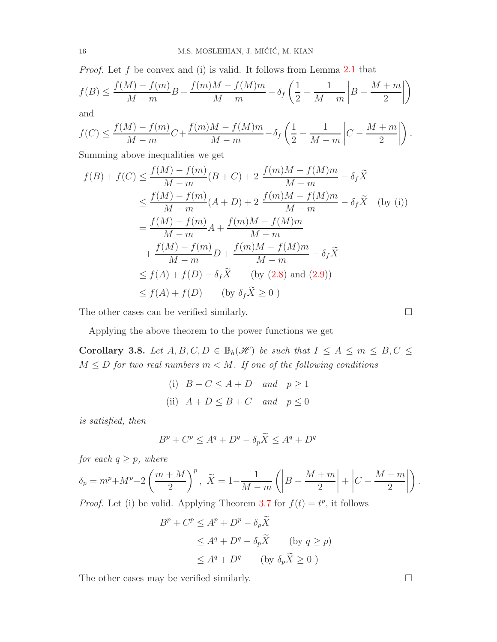*Proof.* Let  $f$  be convex and (i) is valid. It follows from Lemma [2.1](#page-3-2) that

$$
f(B) \le \frac{f(M) - f(m)}{M - m}B + \frac{f(m)M - f(M)m}{M - m} - \delta_f \left(\frac{1}{2} - \frac{1}{M - m} \middle| B - \frac{M + m}{2} \middle| \right)
$$

and

$$
f(C) \le \frac{f(M) - f(m)}{M - m}C + \frac{f(m)M - f(M)m}{M - m} - \delta_f \left(\frac{1}{2} - \frac{1}{M - m}\left|C - \frac{M + m}{2}\right|\right).
$$

Summing above inequalities we get

$$
f(B) + f(C) \le \frac{f(M) - f(m)}{M - m}(B + C) + 2 \frac{f(m)M - f(M)m}{M - m} - \delta_f \tilde{X}
$$
  
\n
$$
\le \frac{f(M) - f(m)}{M - m}(A + D) + 2 \frac{f(m)M - f(M)m}{M - m} - \delta_f \tilde{X}
$$
 (by (i))  
\n
$$
= \frac{f(M) - f(m)}{M - m}A + \frac{f(m)M - f(M)m}{M - m}
$$
  
\n
$$
+ \frac{f(M) - f(m)}{M - m}D + \frac{f(m)M - f(M)m}{M - m} - \delta_f \tilde{X}
$$
  
\n
$$
\le f(A) + f(D) - \delta_f \tilde{X}
$$
 (by (2.8) and (2.9))  
\n
$$
\le f(A) + f(D)
$$
 (by  $\delta_f \tilde{X} \ge 0$ )

The other cases can be verified similarly.  $\Box$ 

Applying the above theorem to the power functions we get

Corollary 3.8. Let  $A, B, C, D \in \mathbb{B}_h(\mathcal{H})$  be such that  $I \leq A \leq m \leq B, C \leq \mathcal{H}$  $M \leq D$  for two real numbers  $m < M$ . If one of the following conditions

(i) 
$$
B + C \le A + D
$$
 and  $p \ge 1$   
\n(ii)  $A + D \le B + C$  and  $p \le 0$ 

is satisfied, then

$$
B^p + C^p \le A^q + D^q - \delta_p \widetilde{X} \le A^q + D^q
$$

for each  $q \geq p$ , where

$$
\delta_p = m^p + M^p - 2\left(\frac{m+M}{2}\right)^p, \quad \tilde{X} = 1 - \frac{1}{M-m} \left( \left| B - \frac{M+m}{2} \right| + \left| C - \frac{M+m}{2} \right| \right).
$$

*Proof.* Let (i) be valid. Applying Theorem [3.7](#page-14-3) for  $f(t) = t^p$ , it follows

$$
Bp + Cp \le Ap + Dp - \delta_p \tilde{X}
$$
  
\n
$$
\le Aq + Dq - \delta_p \tilde{X} \qquad \text{(by } q \ge p\text{)}
$$
  
\n
$$
\le Aq + Dq \qquad \text{(by } \delta_p \tilde{X} \ge 0 \text{ )}
$$

The other cases may be verified similarly.  $\Box$